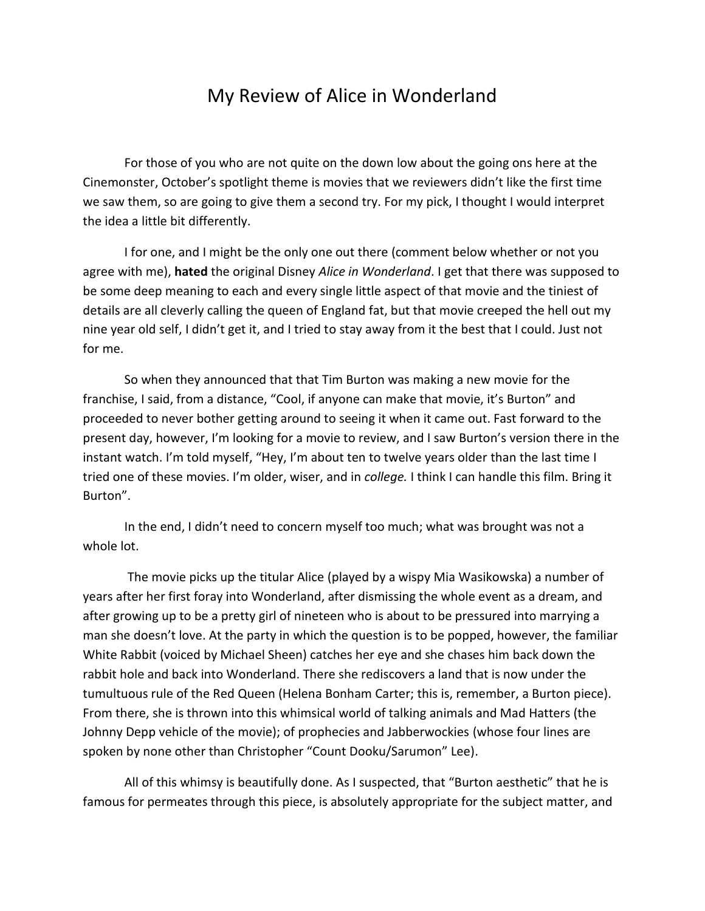## My Review of Alice in Wonderland

For those of you who are not quite on the down low about the going ons here at the Cinemonster, October's spotlight theme is movies that we reviewers didn't like the first time we saw them, so are going to give them a second try. For my pick, I thought I would interpret the idea a little bit differently.

I for one, and I might be the only one out there (comment below whether or not you agree with me), **hated** the original Disney *Alice in Wonderland*. I get that there was supposed to be some deep meaning to each and every single little aspect of that movie and the tiniest of details are all cleverly calling the queen of England fat, but that movie creeped the hell out my nine year old self, I didn't get it, and I tried to stay away from it the best that I could. Just not for me.

So when they announced that that Tim Burton was making a new movie for the franchise, I said, from a distance, "Cool, if anyone can make that movie, it's Burton" and proceeded to never bother getting around to seeing it when it came out. Fast forward to the present day, however, I'm looking for a movie to review, and I saw Burton's version there in the instant watch. I'm told myself, "Hey, I'm about ten to twelve years older than the last time I tried one of these movies. I'm older, wiser, and in *college.* I think I can handle this film. Bring it Burton".

In the end, I didn't need to concern myself too much; what was brought was not a whole lot.

The movie picks up the titular Alice (played by a wispy Mia Wasikowska) a number of years after her first foray into Wonderland, after dismissing the whole event as a dream, and after growing up to be a pretty girl of nineteen who is about to be pressured into marrying a man she doesn't love. At the party in which the question is to be popped, however, the familiar White Rabbit (voiced by Michael Sheen) catches her eye and she chases him back down the rabbit hole and back into Wonderland. There she rediscovers a land that is now under the tumultuous rule of the Red Queen (Helena Bonham Carter; this is, remember, a Burton piece). From there, she is thrown into this whimsical world of talking animals and Mad Hatters (the Johnny Depp vehicle of the movie); of prophecies and Jabberwockies (whose four lines are spoken by none other than Christopher "Count Dooku/Sarumon" Lee).

All of this whimsy is beautifully done. As I suspected, that "Burton aesthetic" that he is famous for permeates through this piece, is absolutely appropriate for the subject matter, and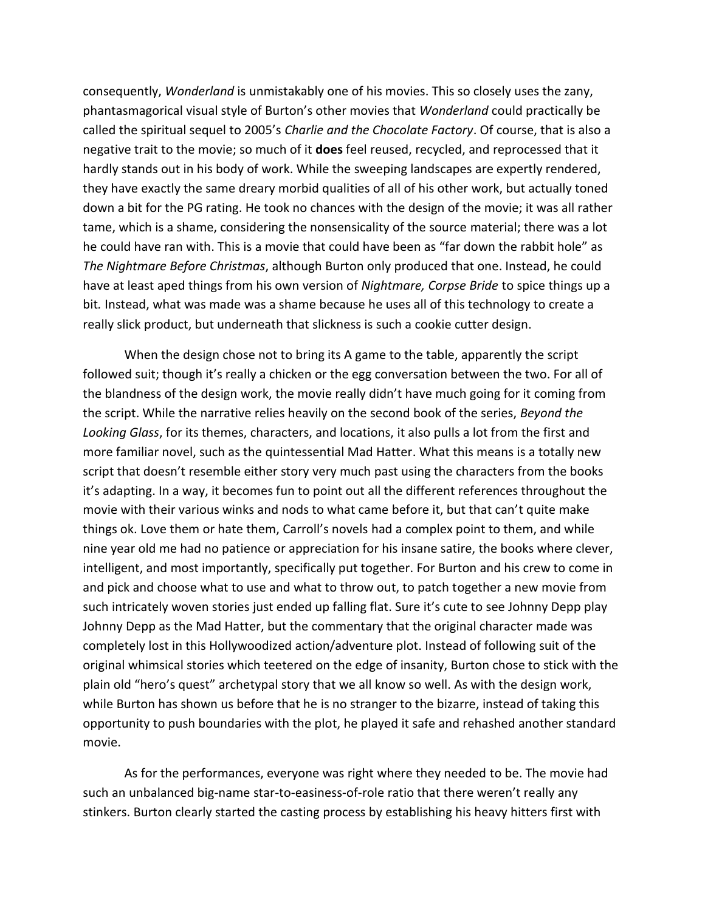consequently, *Wonderland* is unmistakably one of his movies. This so closely uses the zany, phantasmagorical visual style of Burton's other movies that *Wonderland* could practically be called the spiritual sequel to 2005's *Charlie and the Chocolate Factory*. Of course, that is also a negative trait to the movie; so much of it **does** feel reused, recycled, and reprocessed that it hardly stands out in his body of work. While the sweeping landscapes are expertly rendered, they have exactly the same dreary morbid qualities of all of his other work, but actually toned down a bit for the PG rating. He took no chances with the design of the movie; it was all rather tame, which is a shame, considering the nonsensicality of the source material; there was a lot he could have ran with. This is a movie that could have been as "far down the rabbit hole" as *The Nightmare Before Christmas*, although Burton only produced that one. Instead, he could have at least aped things from his own version of *Nightmare, Corpse Bride* to spice things up a bit*.* Instead, what was made was a shame because he uses all of this technology to create a really slick product, but underneath that slickness is such a cookie cutter design.

When the design chose not to bring its A game to the table, apparently the script followed suit; though it's really a chicken or the egg conversation between the two. For all of the blandness of the design work, the movie really didn't have much going for it coming from the script. While the narrative relies heavily on the second book of the series, *Beyond the Looking Glass*, for its themes, characters, and locations, it also pulls a lot from the first and more familiar novel, such as the quintessential Mad Hatter. What this means is a totally new script that doesn't resemble either story very much past using the characters from the books it's adapting. In a way, it becomes fun to point out all the different references throughout the movie with their various winks and nods to what came before it, but that can't quite make things ok. Love them or hate them, Carroll's novels had a complex point to them, and while nine year old me had no patience or appreciation for his insane satire, the books where clever, intelligent, and most importantly, specifically put together. For Burton and his crew to come in and pick and choose what to use and what to throw out, to patch together a new movie from such intricately woven stories just ended up falling flat. Sure it's cute to see Johnny Depp play Johnny Depp as the Mad Hatter, but the commentary that the original character made was completely lost in this Hollywoodized action/adventure plot. Instead of following suit of the original whimsical stories which teetered on the edge of insanity, Burton chose to stick with the plain old "hero's quest" archetypal story that we all know so well. As with the design work, while Burton has shown us before that he is no stranger to the bizarre, instead of taking this opportunity to push boundaries with the plot, he played it safe and rehashed another standard movie.

As for the performances, everyone was right where they needed to be. The movie had such an unbalanced big-name star-to-easiness-of-role ratio that there weren't really any stinkers. Burton clearly started the casting process by establishing his heavy hitters first with